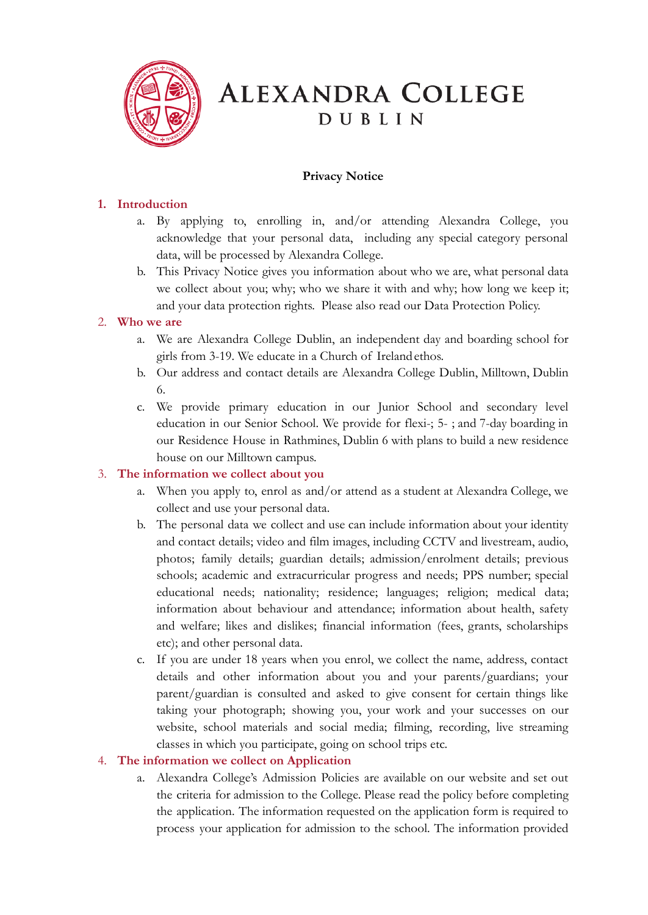

# **ALEXANDRA COLLEGE DUBLIN**

# **Privacy Notice**

# **1. Introduction**

- a. By applying to, enrolling in, and/or attending Alexandra College, you acknowledge that your personal data, including any special category personal data, will be processed by Alexandra College.
- b. This Privacy Notice gives you information about who we are, what personal data we collect about you; why; who we share it with and why; how long we keep it; and your data protection rights. Please also read our Data Protection Policy.

## 2. **Who we are**

- a. We are Alexandra College Dublin, an independent day and boarding school for girls from 3-19. We educate in a Church of Irelandethos.
- b. Our address and contact details are Alexandra College Dublin, Milltown, Dublin 6.
- c. We provide primary education in our Junior School and secondary level education in our Senior School. We provide for flexi-; 5- ; and 7-day boarding in our Residence House in Rathmines, Dublin 6 with plans to build a new residence house on our Milltown campus.

## 3. **The information we collect about you**

- a. When you apply to, enrol as and/or attend as a student at Alexandra College, we collect and use your personal data.
- b. The personal data we collect and use can include information about your identity and contact details; video and film images, including CCTV and livestream, audio, photos; family details; guardian details; admission/enrolment details; previous schools; academic and extracurricular progress and needs; PPS number; special educational needs; nationality; residence; languages; religion; medical data; information about behaviour and attendance; information about health, safety and welfare; likes and dislikes; financial information (fees, grants, scholarships etc); and other personal data.
- c. If you are under 18 years when you enrol, we collect the name, address, contact details and other information about you and your parents/guardians; your parent/guardian is consulted and asked to give consent for certain things like taking your photograph; showing you, your work and your successes on our website, school materials and social media; filming, recording, live streaming classes in which you participate, going on school trips etc.

## 4. **The information we collect on Application**

a. Alexandra College's Admission Policies are available on our website and set out the criteria for admission to the College. Please read the policy before completing the application. The information requested on the application form is required to process your application for admission to the school. The information provided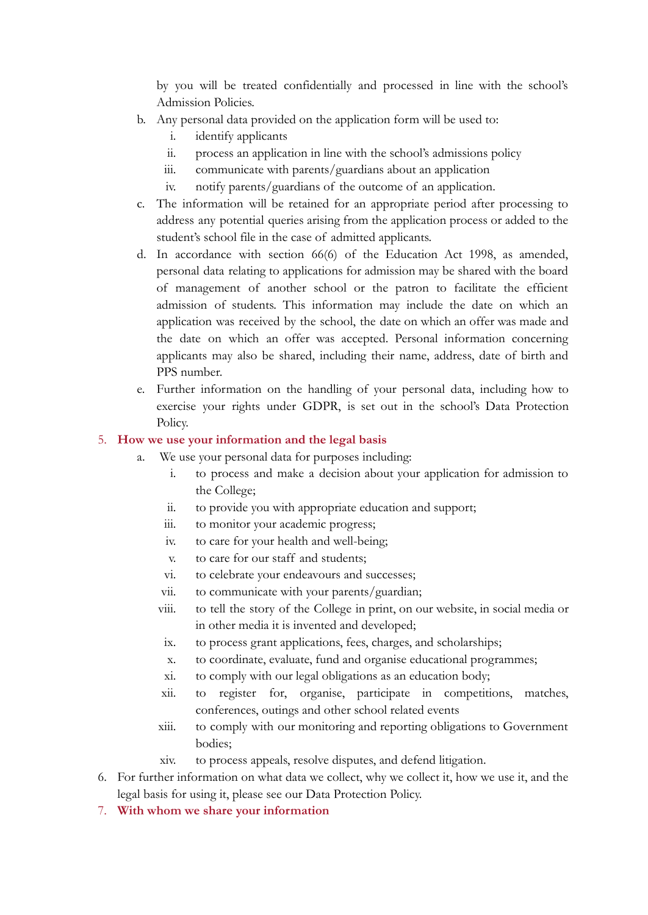by you will be treated confidentially and processed in line with the school's Admission Policies.

- b. Any personal data provided on the application form will be used to:
	- i. identify applicants
	- ii. process an application in line with the school's admissions policy
	- iii. communicate with parents/guardians about an application
	- iv. notify parents/guardians of the outcome of an application.
- c. The information will be retained for an appropriate period after processing to address any potential queries arising from the application process or added to the student's school file in the case of admitted applicants.
- d. In accordance with section 66(6) of the Education Act 1998, as amended, personal data relating to applications for admission may be shared with the board of management of another school or the patron to facilitate the efficient admission of students. This information may include the date on which an application was received by the school, the date on which an offer was made and the date on which an offer was accepted. Personal information concerning applicants may also be shared, including their name, address, date of birth and PPS number.
- e. Further information on the handling of your personal data, including how to exercise your rights under GDPR, is set out in the school's Data Protection Policy.

#### 5. **How we use your information and the legal basis**

- a. We use your personal data for purposes including:
	- i. to process and make a decision about your application for admission to the College;
	- ii. to provide you with appropriate education and support;
	- iii. to monitor your academic progress;
	- iv. to care for your health and well-being;
	- v. to care for our staff and students;
	- vi. to celebrate your endeavours and successes;
	- vii. to communicate with your parents/guardian;
	- viii. to tell the story of the College in print, on our website, in social media or in other media it is invented and developed;
		- ix. to process grant applications, fees, charges, and scholarships;
		- x. to coordinate, evaluate, fund and organise educational programmes;
		- xi. to comply with our legal obligations as an education body;
	- xii. to register for, organise, participate in competitions, matches, conferences, outings and other school related events
	- xiii. to comply with our monitoring and reporting obligations to Government bodies;
	- xiv. to process appeals, resolve disputes, and defend litigation.
- 6. For further information on what data we collect, why we collect it, how we use it, and the legal basis for using it, please see our Data Protection Policy.
- 7. **With whom we share your information**